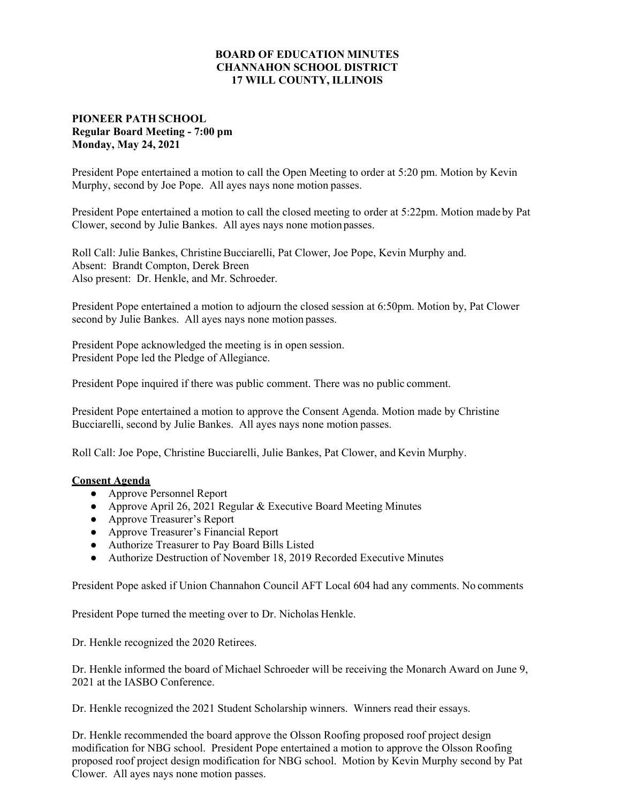## **BOARD OF EDUCATION MINUTES CHANNAHON SCHOOL DISTRICT 17 WILL COUNTY, ILLINOIS**

## **PIONEER PATH SCHOOL Regular Board Meeting - 7:00 pm Monday, May 24, 2021**

President Pope entertained a motion to call the Open Meeting to order at 5:20 pm. Motion by Kevin Murphy, second by Joe Pope. All ayes nays none motion passes.

President Pope entertained a motion to call the closed meeting to order at 5:22pm. Motion made by Pat Clower, second by Julie Bankes. All ayes nays none motion passes.

Roll Call: Julie Bankes, Christine Bucciarelli, Pat Clower, Joe Pope, Kevin Murphy and. Absent: Brandt Compton, Derek Breen Also present: Dr. Henkle, and Mr. Schroeder.

President Pope entertained a motion to adjourn the closed session at 6:50pm. Motion by, Pat Clower second by Julie Bankes. All ayes nays none motion passes.

President Pope acknowledged the meeting is in open session. President Pope led the Pledge of Allegiance.

President Pope inquired if there was public comment. There was no public comment.

President Pope entertained a motion to approve the Consent Agenda. Motion made by Christine Bucciarelli, second by Julie Bankes. All ayes nays none motion passes.

Roll Call: Joe Pope, Christine Bucciarelli, Julie Bankes, Pat Clower, and Kevin Murphy.

## **Consent Agenda**

- **●** Approve Personnel Report
- **●** Approve April 26, 2021 Regular & Executive Board Meeting Minutes
- **●** Approve Treasurer's Report
- **●** Approve Treasurer's Financial Report
- **●** Authorize Treasurer to Pay Board Bills Listed
- **●** Authorize Destruction of November 18, 2019 Recorded Executive Minutes

President Pope asked if Union Channahon Council AFT Local 604 had any comments. No comments

President Pope turned the meeting over to Dr. Nicholas Henkle.

Dr. Henkle recognized the 2020 Retirees.

Dr. Henkle informed the board of Michael Schroeder will be receiving the Monarch Award on June 9, 2021 at the IASBO Conference.

Dr. Henkle recognized the 2021 Student Scholarship winners. Winners read their essays.

Dr. Henkle recommended the board approve the Olsson Roofing proposed roof project design modification for NBG school. President Pope entertained a motion to approve the Olsson Roofing proposed roof project design modification for NBG school. Motion by Kevin Murphy second by Pat Clower. All ayes nays none motion passes.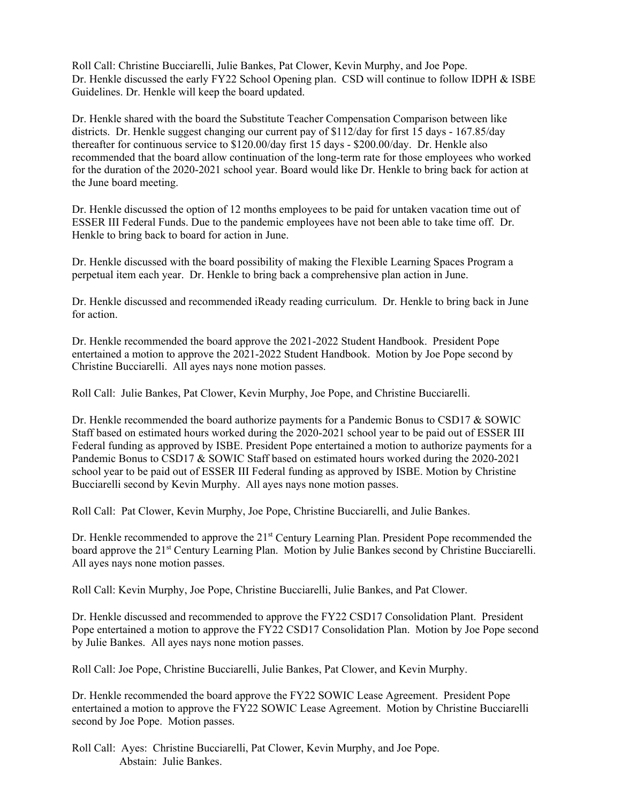Roll Call: Christine Bucciarelli, Julie Bankes, Pat Clower, Kevin Murphy, and Joe Pope. Dr. Henkle discussed the early FY22 School Opening plan. CSD will continue to follow IDPH & ISBE Guidelines. Dr. Henkle will keep the board updated.

Dr. Henkle shared with the board the Substitute Teacher Compensation Comparison between like districts. Dr. Henkle suggest changing our current pay of \$112/day for first 15 days - 167.85/day thereafter for continuous service to \$120.00/day first 15 days - \$200.00/day. Dr. Henkle also recommended that the board allow continuation of the long-term rate for those employees who worked for the duration of the 2020-2021 school year. Board would like Dr. Henkle to bring back for action at the June board meeting.

Dr. Henkle discussed the option of 12 months employees to be paid for untaken vacation time out of ESSER III Federal Funds. Due to the pandemic employees have not been able to take time off. Dr. Henkle to bring back to board for action in June.

Dr. Henkle discussed with the board possibility of making the Flexible Learning Spaces Program a perpetual item each year. Dr. Henkle to bring back a comprehensive plan action in June.

Dr. Henkle discussed and recommended iReady reading curriculum. Dr. Henkle to bring back in June for action.

Dr. Henkle recommended the board approve the 2021-2022 Student Handbook. President Pope entertained a motion to approve the 2021-2022 Student Handbook. Motion by Joe Pope second by Christine Bucciarelli. All ayes nays none motion passes.

Roll Call: Julie Bankes, Pat Clower, Kevin Murphy, Joe Pope, and Christine Bucciarelli.

Dr. Henkle recommended the board authorize payments for a Pandemic Bonus to CSD17  $&$  SOWIC Staff based on estimated hours worked during the 2020-2021 school year to be paid out of ESSER III Federal funding as approved by ISBE. President Pope entertained a motion to authorize payments for a Pandemic Bonus to CSD17 & SOWIC Staff based on estimated hours worked during the 2020-2021 school year to be paid out of ESSER III Federal funding as approved by ISBE. Motion by Christine Bucciarelli second by Kevin Murphy. All ayes nays none motion passes.

Roll Call: Pat Clower, Kevin Murphy, Joe Pope, Christine Bucciarelli, and Julie Bankes.

Dr. Henkle recommended to approve the  $21<sup>st</sup>$  Century Learning Plan. President Pope recommended the board approve the 21<sup>st</sup> Century Learning Plan. Motion by Julie Bankes second by Christine Bucciarelli. All ayes nays none motion passes.

Roll Call: Kevin Murphy, Joe Pope, Christine Bucciarelli, Julie Bankes, and Pat Clower.

Dr. Henkle discussed and recommended to approve the FY22 CSD17 Consolidation Plant. President Pope entertained a motion to approve the FY22 CSD17 Consolidation Plan. Motion by Joe Pope second by Julie Bankes. All ayes nays none motion passes.

Roll Call: Joe Pope, Christine Bucciarelli, Julie Bankes, Pat Clower, and Kevin Murphy.

Dr. Henkle recommended the board approve the FY22 SOWIC Lease Agreement. President Pope entertained a motion to approve the FY22 SOWIC Lease Agreement. Motion by Christine Bucciarelli second by Joe Pope. Motion passes.

Roll Call: Ayes: Christine Bucciarelli, Pat Clower, Kevin Murphy, and Joe Pope. Abstain: Julie Bankes.